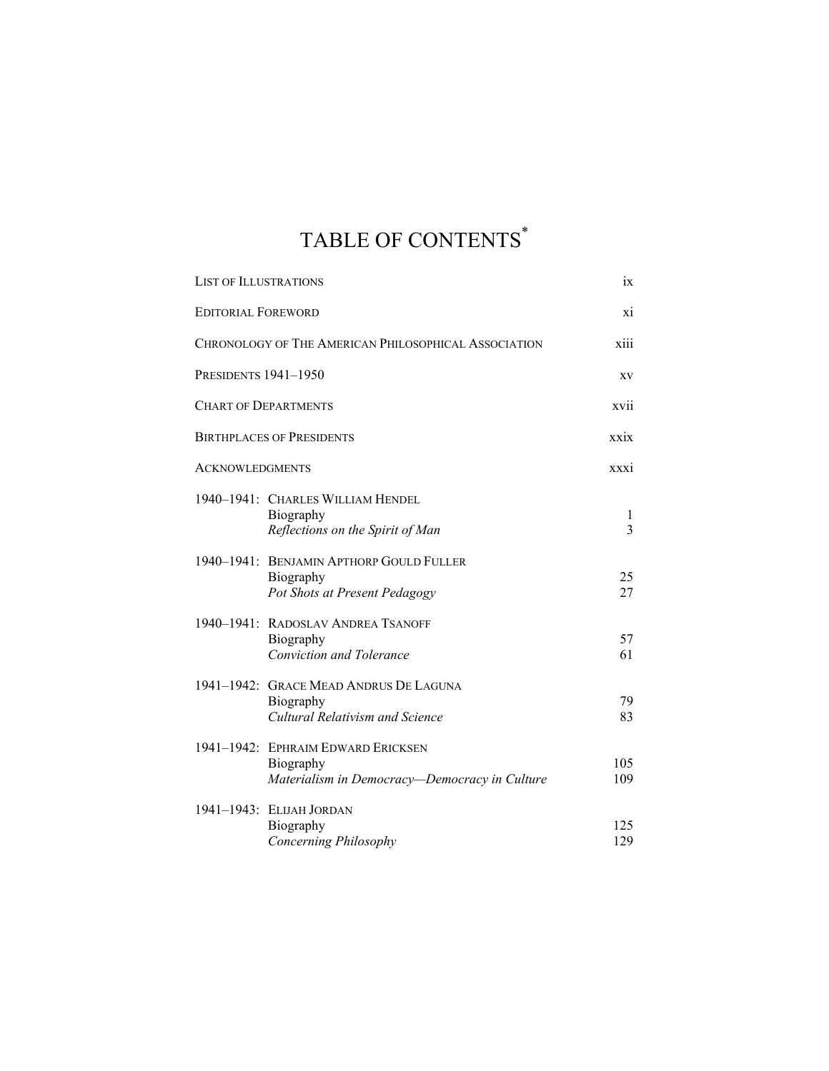## TABLE OF CONTENTS\*

| <b>LIST OF ILLUSTRATIONS</b>                         |                                                                                                  | ix                |
|------------------------------------------------------|--------------------------------------------------------------------------------------------------|-------------------|
| <b>EDITORIAL FOREWORD</b>                            |                                                                                                  | xi                |
| CHRONOLOGY OF THE AMERICAN PHILOSOPHICAL ASSOCIATION |                                                                                                  | xiii              |
| PRESIDENTS 1941-1950                                 |                                                                                                  | XV                |
|                                                      | <b>CHART OF DEPARTMENTS</b>                                                                      | xvii              |
| <b>BIRTHPLACES OF PRESIDENTS</b>                     |                                                                                                  | xxix              |
| <b>ACKNOWLEDGMENTS</b>                               |                                                                                                  | <b>XXX1</b>       |
|                                                      | 1940-1941: CHARLES WILLIAM HENDEL<br>Biography<br>Reflections on the Spirit of Man               | $\mathbf{I}$<br>3 |
|                                                      | 1940-1941: BENJAMIN APTHORP GOULD FULLER<br>Biography<br>Pot Shots at Present Pedagogy           | 25<br>27          |
|                                                      | 1940-1941: RADOSLAV ANDREA TSANOFF<br>Biography<br><b>Conviction and Tolerance</b>               | 57<br>61          |
|                                                      | 1941-1942: GRACE MEAD ANDRUS DE LAGUNA<br>Biography<br>Cultural Relativism and Science           | 79<br>83          |
|                                                      | 1941-1942: EPHRAIM EDWARD ERICKSEN<br>Biography<br>Materialism in Democracy-Democracy in Culture | 105<br>109        |
|                                                      | 1941-1943: ELIJAH JORDAN<br>Biography<br>Concerning Philosophy                                   | 125<br>129        |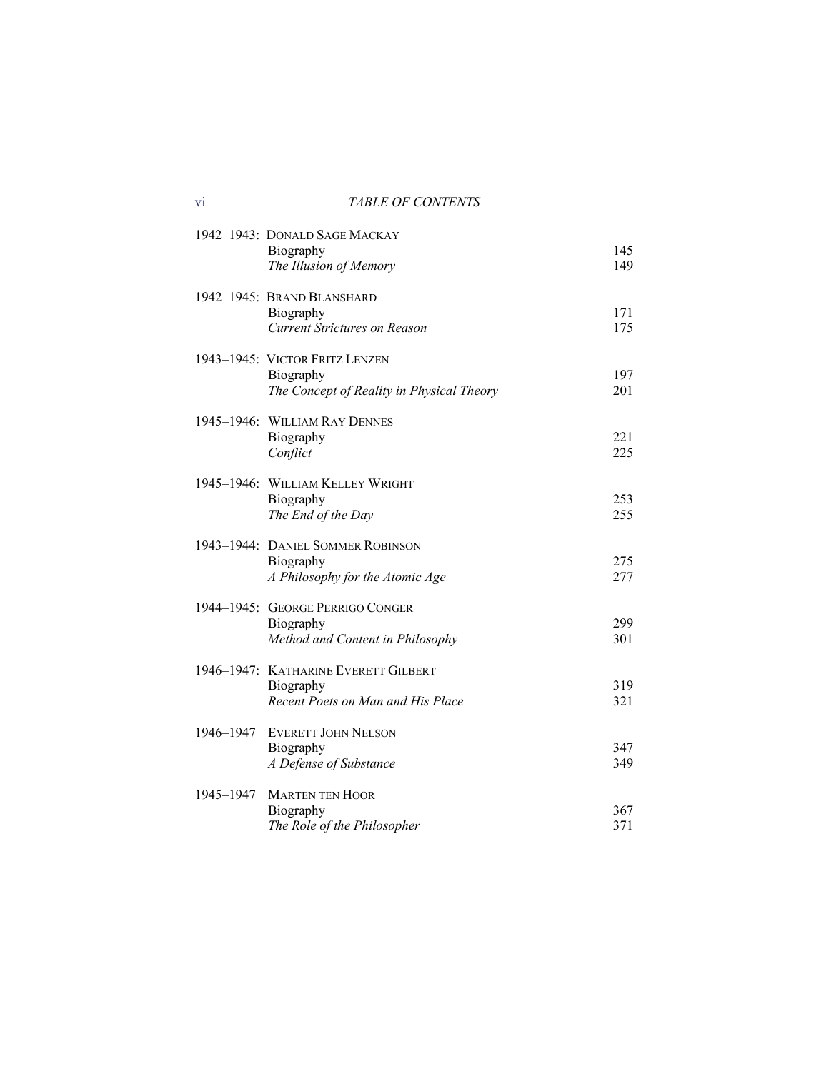vi *TABLE OF CONTENTS*

|           | 1942-1943: DONALD SAGE MACKAY<br>Biography<br>The Illusion of Memory                     | 145<br>149 |
|-----------|------------------------------------------------------------------------------------------|------------|
|           | 1942-1945: BRAND BLANSHARD<br>Biography<br><b>Current Strictures on Reason</b>           | 171<br>175 |
|           | 1943–1945: VICTOR FRITZ LENZEN<br>Biography<br>The Concept of Reality in Physical Theory | 197<br>201 |
|           | 1945-1946: WILLIAM RAY DENNES<br>Biography<br>Conflict                                   | 221<br>225 |
|           | 1945-1946: WILLIAM KELLEY WRIGHT<br>Biography<br>The End of the Day                      | 253<br>255 |
|           | 1943-1944: DANIEL SOMMER ROBINSON<br>Biography<br>A Philosophy for the Atomic Age        | 275<br>277 |
|           | 1944-1945: GEORGE PERRIGO CONGER<br>Biography<br>Method and Content in Philosophy        | 299<br>301 |
|           | 1946-1947: KATHARINE EVERETT GILBERT<br>Biography<br>Recent Poets on Man and His Place   | 319<br>321 |
| 1946-1947 | <b>EVERETT JOHN NELSON</b><br>Biography<br>A Defense of Substance                        | 347<br>349 |
| 1945-1947 | <b>MARTEN TEN HOOR</b><br>Biography<br>The Role of the Philosopher                       | 367<br>371 |